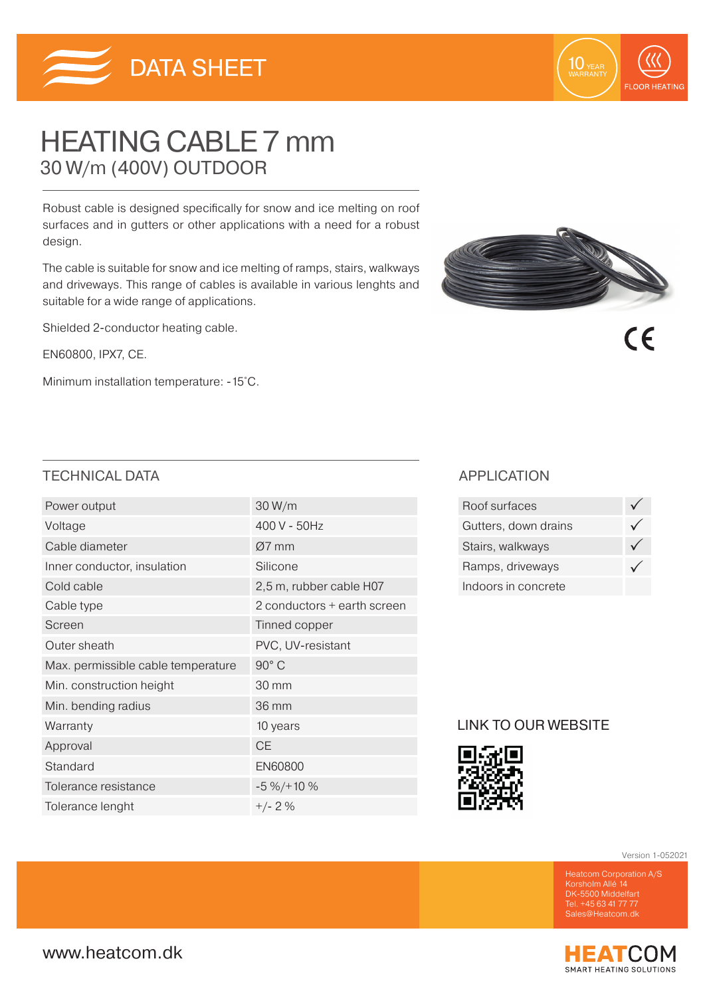

# HEATING CABLE 7 mm 30 W/m (400V) OUTDOOR

Robust cable is designed specifically for snow and ice melting on roof surfaces and in gutters or other applications with a need for a robust design.

The cable is suitable for snow and ice melting of ramps, stairs, walkways and driveways. This range of cables is available in various lenghts and suitable for a wide range of applications.

Shielded 2-conductor heating cable.

EN60800, IPX7, CE.

Minimum installation temperature: -15˚C.



10 YEAR

**FLOOR HEATING** 

 $\epsilon$ 

## TECHNICAL DATA APPLICATION

| Power output                       | 30 W/m                      |  |  |
|------------------------------------|-----------------------------|--|--|
| Voltage                            | 400 V - 50Hz                |  |  |
| Cable diameter                     | $Ø7$ mm                     |  |  |
| Inner conductor, insulation        | Silicone                    |  |  |
| Cold cable                         | 2,5 m, rubber cable H07     |  |  |
| Cable type                         | 2 conductors + earth screen |  |  |
| Screen                             | Tinned copper               |  |  |
| Outer sheath                       | PVC, UV-resistant           |  |  |
| Max. permissible cable temperature | 90° C                       |  |  |
| Min. construction height           | 30 mm                       |  |  |
| Min. bending radius                | 36 mm                       |  |  |
| Warranty                           | 10 years                    |  |  |
| Approval                           | <b>CE</b>                   |  |  |
| Standard                           | EN60800                     |  |  |
| Tolerance resistance               | $-5\% / + 10\%$             |  |  |
| Tolerance lenght                   | $+/- 2%$                    |  |  |

| Roof surfaces        |  |
|----------------------|--|
| Gutters, down drains |  |
| Stairs, walkways     |  |
| Ramps, driveways     |  |
| Indoors in concrete  |  |

## LINK TO OUR WEBSITE



Version 1-052021

DK-5500 Middelfart Tel. +45 63 41 77 77